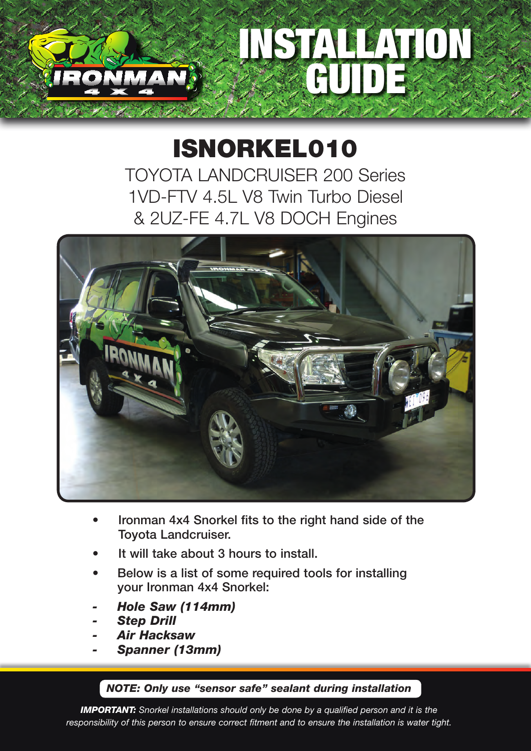## INSTALLATION GUIDE

## ISNORKEL010

TOYOTA LANDCRUISER 200 Series 1VD-FTV 4.5L V8 Twin Turbo Diesel & 2UZ-FE 4.7L V8 DOCH Engines



- Ironman 4x4 Snorkel fits to the right hand side of the Toyota Landcruiser.
- It will take about 3 hours to install.
- Below is a list of some required tools for installing your Ironman 4x4 Snorkel:
- *- Hole Saw (114mm)*
- *- Step Drill*
- *- Air Hacksaw*
- *- Spanner (13mm)*

## *NOTE: Only use "sensor safe" sealant during installation*

*IMPORTANT: Snorkel installations should only be done by a qualified person and it is the responsibility of this person to ensure correct fitment and to ensure the installation is water tight.*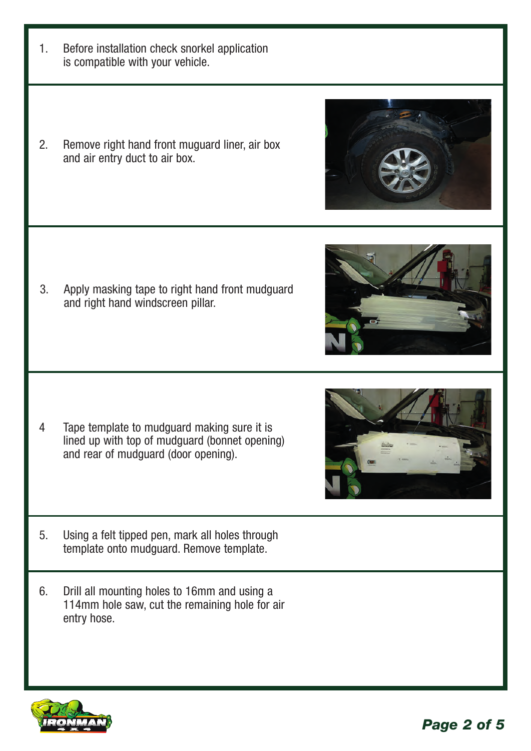*Page 2 of 5*

- 1. Before installation check snorkel application is compatible with your vehicle.
- 2. Remove right hand front muguard liner, air box and air entry duct to air box.

3. Apply masking tape to right hand front mudguard and right hand windscreen pillar.

- 4 Tape template to mudguard making sure it is lined up with top of mudguard (bonnet opening) and rear of mudguard (door opening).
- 5. Using a felt tipped pen, mark all holes through template onto mudguard. Remove template.
- 6. Drill all mounting holes to 16mm and using a 114mm hole saw, cut the remaining hole for air entry hose.







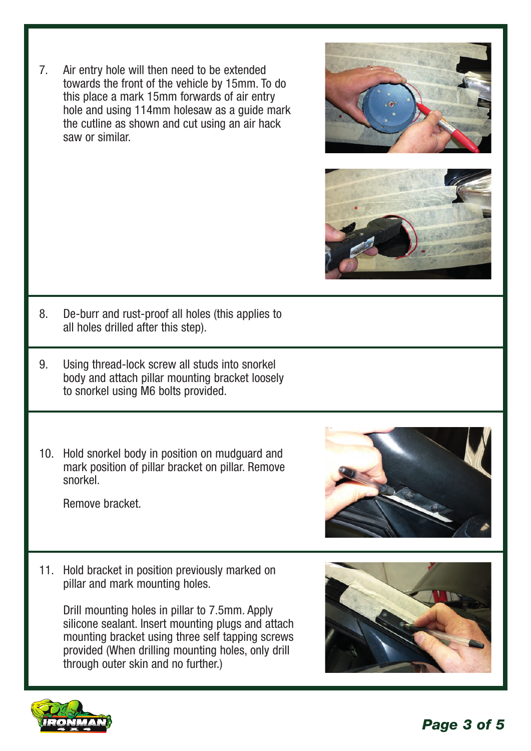7. Air entry hole will then need to be extended towards the front of the vehicle by 15mm. To do this place a mark 15mm forwards of air entry hole and using 114mm holesaw as a guide mark the cutline as shown and cut using an air hack saw or similar.





- 8. De-burr and rust-proof all holes (this applies to all holes drilled after this step).
- 9. Using thread-lock screw all studs into snorkel body and attach pillar mounting bracket loosely to snorkel using M6 bolts provided.
- 10. Hold snorkel body in position on mudguard and mark position of pillar bracket on pillar. Remove snorkel.

Remove bracket.



11. Hold bracket in position previously marked on pillar and mark mounting holes.

Drill mounting holes in pillar to 7.5mm. Apply silicone sealant. Insert mounting plugs and attach mounting bracket using three self tapping screws provided (When drilling mounting holes, only drill through outer skin and no further.)



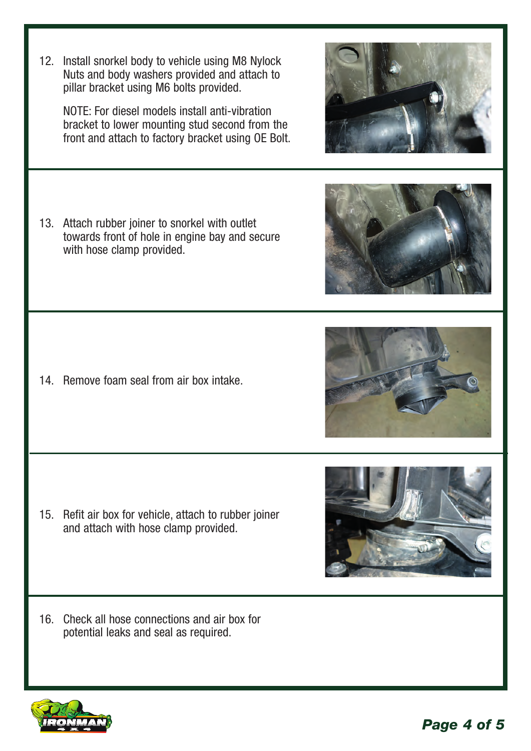12. Install snorkel body to vehicle using M8 Nylock Nuts and body washers provided and attach to pillar bracket using M6 bolts provided.

 NOTE: For diesel models install anti-vibration bracket to lower mounting stud second from the front and attach to factory bracket using OE Bolt.

13. Attach rubber joiner to snorkel with outlet towards front of hole in engine bay and secure with hose clamp provided.

14. Remove foam seal from air box intake.

- 15. Refit air box for vehicle, attach to rubber joiner and attach with hose clamp provided.
- 16. Check all hose connections and air box for potential leaks and seal as required.